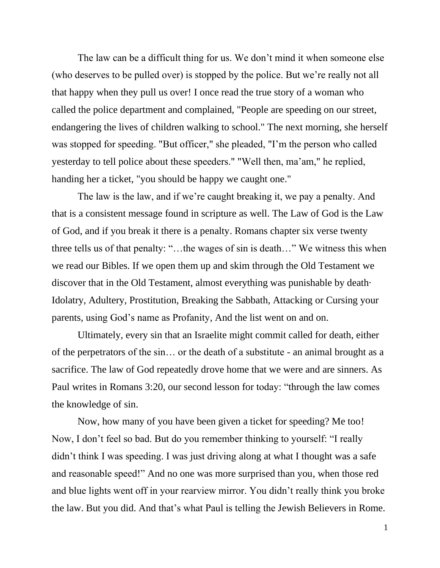The law can be a difficult thing for us. We don't mind it when someone else (who deserves to be pulled over) is stopped by the police. But we're really not all that happy when they pull us over! I once read the true story of a woman who called the police department and complained, "People are speeding on our street, endangering the lives of children walking to school." The next morning, she herself was stopped for speeding. "But officer," she pleaded, "I'm the person who called yesterday to tell police about these speeders." "Well then, ma'am," he replied, handing her a ticket, "you should be happy we caught one."

The law is the law, and if we're caught breaking it, we pay a penalty. And that is a consistent message found in scripture as well. The Law of God is the Law of God, and if you break it there is a penalty. Romans chapter six verse twenty three tells us of that penalty: "…the wages of sin is death…" We witness this when we read our Bibles. If we open them up and skim through the Old Testament we discover that in the Old Testament, almost everything was punishable by death· Idolatry, Adultery, Prostitution, Breaking the Sabbath, Attacking or Cursing your parents, using God's name as Profanity, And the list went on and on.

Ultimately, every sin that an Israelite might commit called for death, either of the perpetrators of the sin… or the death of a substitute - an animal brought as a sacrifice. The law of God repeatedly drove home that we were and are sinners. As Paul writes in Romans 3:20, our second lesson for today: "through the law comes the knowledge of sin.

Now, how many of you have been given a ticket for speeding? Me too! Now, I don't feel so bad. But do you remember thinking to yourself: "I really didn't think I was speeding. I was just driving along at what I thought was a safe and reasonable speed!" And no one was more surprised than you, when those red and blue lights went off in your rearview mirror. You didn't really think you broke the law. But you did. And that's what Paul is telling the Jewish Believers in Rome.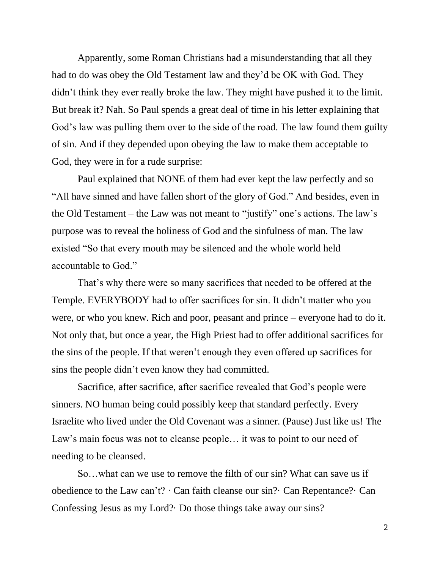Apparently, some Roman Christians had a misunderstanding that all they had to do was obey the Old Testament law and they'd be OK with God. They didn't think they ever really broke the law. They might have pushed it to the limit. But break it? Nah. So Paul spends a great deal of time in his letter explaining that God's law was pulling them over to the side of the road. The law found them guilty of sin. And if they depended upon obeying the law to make them acceptable to God, they were in for a rude surprise:

Paul explained that NONE of them had ever kept the law perfectly and so "All have sinned and have fallen short of the glory of God." And besides, even in the Old Testament – the Law was not meant to "justify" one's actions. The law's purpose was to reveal the holiness of God and the sinfulness of man. The law existed "So that every mouth may be silenced and the whole world held accountable to God."

That's why there were so many sacrifices that needed to be offered at the Temple. EVERYBODY had to offer sacrifices for sin. It didn't matter who you were, or who you knew. Rich and poor, peasant and prince – everyone had to do it. Not only that, but once a year, the High Priest had to offer additional sacrifices for the sins of the people. If that weren't enough they even offered up sacrifices for sins the people didn't even know they had committed.

Sacrifice, after sacrifice, after sacrifice revealed that God's people were sinners. NO human being could possibly keep that standard perfectly. Every Israelite who lived under the Old Covenant was a sinner. (Pause) Just like us! The Law's main focus was not to cleanse people… it was to point to our need of needing to be cleansed.

So…what can we use to remove the filth of our sin? What can save us if obedience to the Law can't? · Can faith cleanse our sin?· Can Repentance?· Can Confessing Jesus as my Lord?· Do those things take away our sins?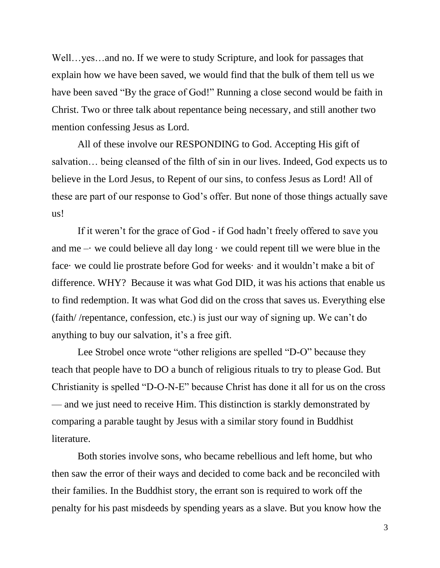Well…yes…and no. If we were to study Scripture, and look for passages that explain how we have been saved, we would find that the bulk of them tell us we have been saved "By the grace of God!" Running a close second would be faith in Christ. Two or three talk about repentance being necessary, and still another two mention confessing Jesus as Lord.

All of these involve our RESPONDING to God. Accepting His gift of salvation… being cleansed of the filth of sin in our lives. Indeed, God expects us to believe in the Lord Jesus, to Repent of our sins, to confess Jesus as Lord! All of these are part of our response to God's offer. But none of those things actually save us!

If it weren't for the grace of God - if God hadn't freely offered to save you and me – we could believe all day long  $\cdot$  we could repent till we were blue in the face· we could lie prostrate before God for weeks· and it wouldn't make a bit of difference. WHY? Because it was what God DID, it was his actions that enable us to find redemption. It was what God did on the cross that saves us. Everything else (faith/ /repentance, confession, etc.) is just our way of signing up. We can't do anything to buy our salvation, it's a free gift.

Lee Strobel once wrote "other religions are spelled "D-O" because they teach that people have to DO a bunch of religious rituals to try to please God. But Christianity is spelled "D-O-N-E" because Christ has done it all for us on the cross — and we just need to receive Him. This distinction is starkly demonstrated by comparing a parable taught by Jesus with a similar story found in Buddhist literature.

Both stories involve sons, who became rebellious and left home, but who then saw the error of their ways and decided to come back and be reconciled with their families. In the Buddhist story, the errant son is required to work off the penalty for his past misdeeds by spending years as a slave. But you know how the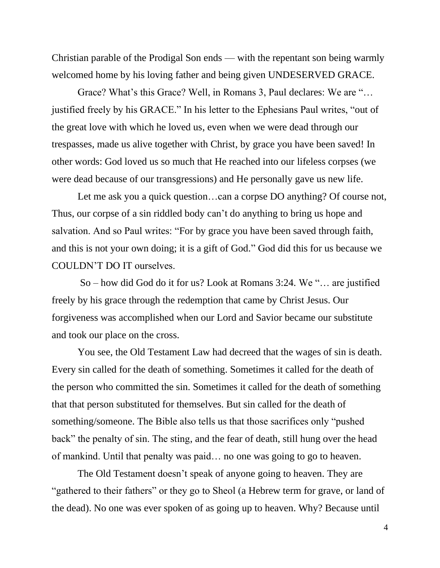Christian parable of the Prodigal Son ends — with the repentant son being warmly welcomed home by his loving father and being given UNDESERVED GRACE.

Grace? What's this Grace? Well, in Romans 3, Paul declares: We are "… justified freely by his GRACE." In his letter to the Ephesians Paul writes, "out of the great love with which he loved us, even when we were dead through our trespasses, made us alive together with Christ, by grace you have been saved! In other words: God loved us so much that He reached into our lifeless corpses (we were dead because of our transgressions) and He personally gave us new life.

Let me ask you a quick question…can a corpse DO anything? Of course not, Thus, our corpse of a sin riddled body can't do anything to bring us hope and salvation. And so Paul writes: "For by grace you have been saved through faith, and this is not your own doing; it is a gift of God." God did this for us because we COULDN'T DO IT ourselves.

So – how did God do it for us? Look at Romans 3:24. We "… are justified freely by his grace through the redemption that came by Christ Jesus. Our forgiveness was accomplished when our Lord and Savior became our substitute and took our place on the cross.

You see, the Old Testament Law had decreed that the wages of sin is death. Every sin called for the death of something. Sometimes it called for the death of the person who committed the sin. Sometimes it called for the death of something that that person substituted for themselves. But sin called for the death of something/someone. The Bible also tells us that those sacrifices only "pushed back" the penalty of sin. The sting, and the fear of death, still hung over the head of mankind. Until that penalty was paid… no one was going to go to heaven.

The Old Testament doesn't speak of anyone going to heaven. They are "gathered to their fathers" or they go to Sheol (a Hebrew term for grave, or land of the dead). No one was ever spoken of as going up to heaven. Why? Because until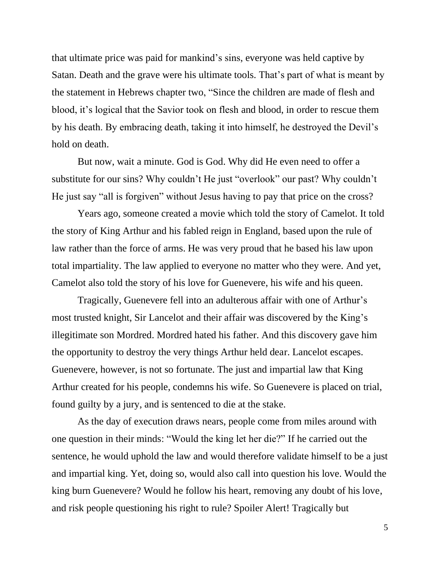that ultimate price was paid for mankind's sins, everyone was held captive by Satan. Death and the grave were his ultimate tools. That's part of what is meant by the statement in Hebrews chapter two, "Since the children are made of flesh and blood, it's logical that the Savior took on flesh and blood, in order to rescue them by his death. By embracing death, taking it into himself, he destroyed the Devil's hold on death.

But now, wait a minute. God is God. Why did He even need to offer a substitute for our sins? Why couldn't He just "overlook" our past? Why couldn't He just say "all is forgiven" without Jesus having to pay that price on the cross?

Years ago, someone created a movie which told the story of Camelot. It told the story of King Arthur and his fabled reign in England, based upon the rule of law rather than the force of arms. He was very proud that he based his law upon total impartiality. The law applied to everyone no matter who they were. And yet, Camelot also told the story of his love for Guenevere, his wife and his queen.

Tragically, Guenevere fell into an adulterous affair with one of Arthur's most trusted knight, Sir Lancelot and their affair was discovered by the King's illegitimate son Mordred. Mordred hated his father. And this discovery gave him the opportunity to destroy the very things Arthur held dear. Lancelot escapes. Guenevere, however, is not so fortunate. The just and impartial law that King Arthur created for his people, condemns his wife. So Guenevere is placed on trial, found guilty by a jury, and is sentenced to die at the stake.

As the day of execution draws nears, people come from miles around with one question in their minds: "Would the king let her die?" If he carried out the sentence, he would uphold the law and would therefore validate himself to be a just and impartial king. Yet, doing so, would also call into question his love. Would the king burn Guenevere? Would he follow his heart, removing any doubt of his love, and risk people questioning his right to rule? Spoiler Alert! Tragically but